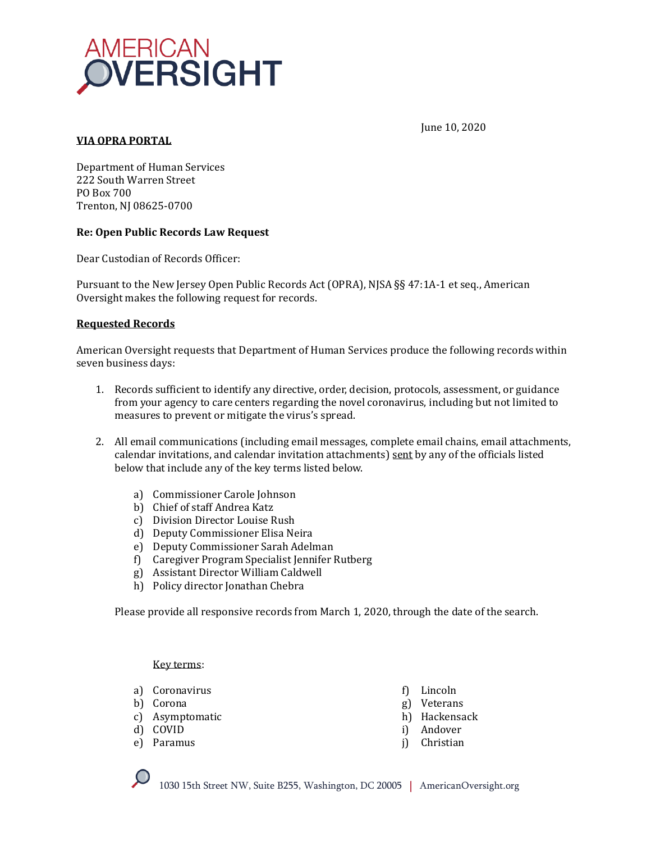

# **VIA OPRA PORTAL**

June 10, 2020

Department of Human Services 222 South Warren Street PO Box 700 Trenton, NJ 08625-0700

### **Re: Open Public Records Law Request**

Dear Custodian of Records Officer:

Pursuant to the New Jersey Open Public Records Act (OPRA), NJSA §§ 47:1A-1 et seq., American Oversight makes the following request for records.

### **Requested Records**

American Oversight requests that Department of Human Services produce the following records within seven business days:

- 1. Records sufficient to identify any directive, order, decision, protocols, assessment, or guidance from your agency to care centers regarding the novel coronavirus, including but not limited to measures to prevent or mitigate the virus's spread.
- 2. All email communications (including email messages, complete email chains, email attachments, calendar invitations, and calendar invitation attachments) sent by any of the officials listed below that include any of the key terms listed below.
	- a) Commissioner Carole Johnson
	- b) Chief of staff Andrea Katz
	- c) Division Director Louise Rush
	- d) Deputy Commissioner Elisa Neira
	- e) Deputy Commissioner Sarah Adelman
	- f) Caregiver Program Specialist Jennifer Rutberg
	- g) Assistant Director William Caldwell
	- h) Policy director Jonathan Chebra

Please provide all responsive records from March 1, 2020, through the date of the search.

#### Key terms:

- a) Coronavirus
- b) Corona
- c) Asymptomatic
- d) COVID
- e) Paramus
- f) Lincoln
- g) Veterans
- h) Hackensack
- i) Andover
- j) Christian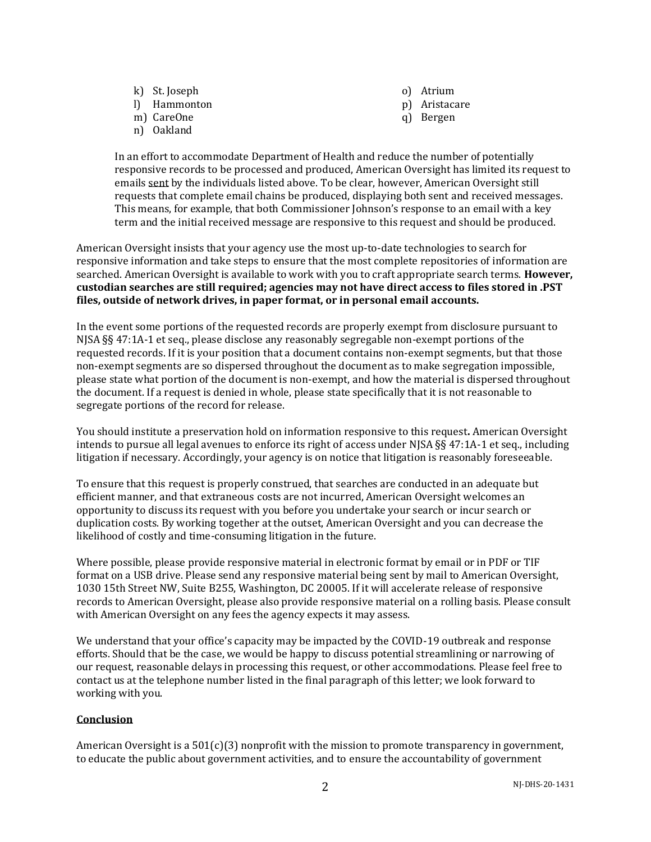- k) St. Joseph
- l) Hammonton
- m) CareOne
- n) Oakland
- o) Atrium
- p) Aristacare
- q) Bergen

In an effort to accommodate Department of Health and reduce the number of potentially responsive records to be processed and produced, American Oversight has limited its request to emails sent by the individuals listed above. To be clear, however, American Oversight still requests that complete email chains be produced, displaying both sent and received messages. This means, for example, that both Commissioner Johnson's response to an email with a key term and the initial received message are responsive to this request and should be produced.

American Oversight insists that your agency use the most up-to-date technologies to search for responsive information and take steps to ensure that the most complete repositories of information are searched. American Oversight is available to work with you to craft appropriate search terms. **However, custodian searches are still required; agencies may not have direct access to files stored in .PST files, outside of network drives, in paper format, or in personal email accounts.**

In the event some portions of the requested records are properly exempt from disclosure pursuant to NJSA §§ 47:1A-1 et seq., please disclose any reasonably segregable non-exempt portions of the requested records. If it is your position that a document contains non-exempt segments, but that those non-exempt segments are so dispersed throughout the document as to make segregation impossible, please state what portion of the document is non-exempt, and how the material is dispersed throughout the document. If a request is denied in whole, please state specifically that it is not reasonable to segregate portions of the record for release.

You should institute a preservation hold on information responsive to this request**.** American Oversight intends to pursue all legal avenues to enforce its right of access under NJSA §§ 47:1A-1 et seq., including litigation if necessary. Accordingly, your agency is on notice that litigation is reasonably foreseeable.

To ensure that this request is properly construed, that searches are conducted in an adequate but efficient manner, and that extraneous costs are not incurred, American Oversight welcomes an opportunity to discuss its request with you before you undertake your search or incur search or duplication costs. By working together at the outset, American Oversight and you can decrease the likelihood of costly and time-consuming litigation in the future.

Where possible, please provide responsive material in electronic format by email or in PDF or TIF format on a USB drive. Please send any responsive material being sent by mail to American Oversight, 1030 15th Street NW, Suite B255, Washington, DC 20005. If it will accelerate release of responsive records to American Oversight, please also provide responsive material on a rolling basis. Please consult with American Oversight on any fees the agency expects it may assess.

We understand that your office's capacity may be impacted by the COVID-19 outbreak and response efforts. Should that be the case, we would be happy to discuss potential streamlining or narrowing of our request, reasonable delays in processing this request, or other accommodations. Please feel free to contact us at the telephone number listed in the final paragraph of this letter; we look forward to working with you.

# **Conclusion**

American Oversight is a  $501(c)(3)$  nonprofit with the mission to promote transparency in government, to educate the public about government activities, and to ensure the accountability of government